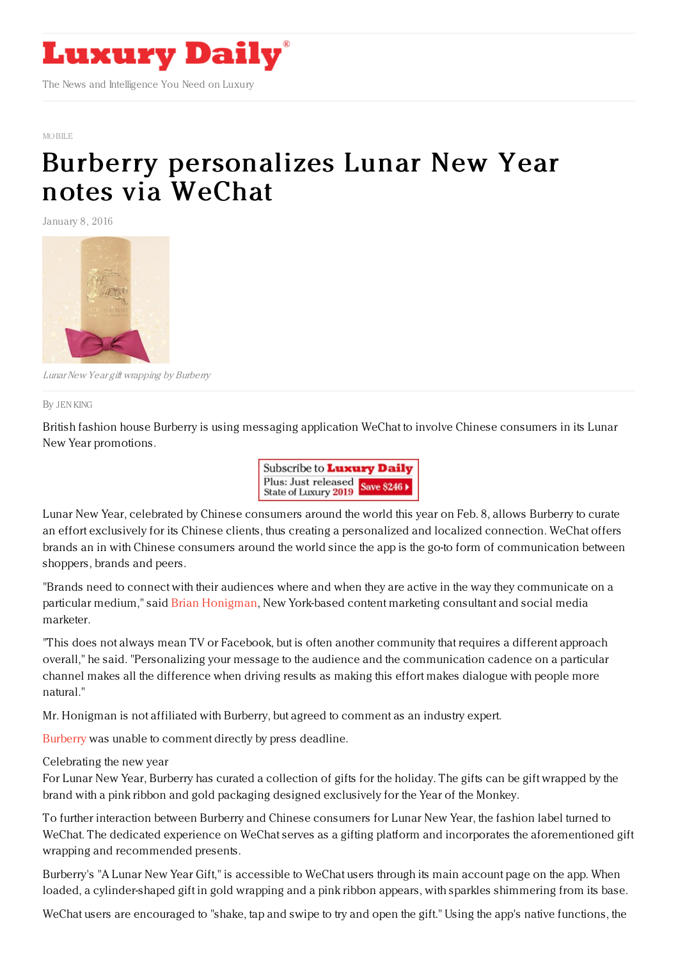

#### MORILE

# Burberry [personalizes](https://www.luxurydaily.com/burberry-personalizes-lunar-new-year-notes-via-wechat/) Lunar New Year notes via WeChat

January 8, 2016



LunarNew Year gift wrapping by Burberry

By JEN [KING](file:///author/jen-king)

British fashion house Burberry is using messaging application WeChat to involve Chinese consumers in its Lunar New Year promotions.



Lunar New Year, celebrated by Chinese consumers around the world this year on Feb. 8, allows Burberry to curate an effort exclusively for its Chinese clients, thus creating a personalized and localized connection. WeChat offers brands an in with Chinese consumers around the world since the app is the go-to form of communication between shoppers, brands and peers.

"Brands need to connect with their audiences where and when they are active in the way they communicate on a particular medium," said Brian [Honigman](http://www.brianhonigman.com/), New York-based content marketing consultant and social media marketer.

"This does not always mean TV or Facebook, but is often another community that requires a different approach overall," he said. "Personalizing your message to the audience and the communication cadence on a particular channel makes all the difference when driving results as making this effort makes dialogue with people more natural."

Mr. Honigman is not affiliated with Burberry, but agreed to comment as an industry expert.

[Burberry](http://www.burberry.com) was unable to comment directly by press deadline.

Celebrating the new year

For Lunar New Year, Burberry has curated a collection of gifts for the holiday. The gifts can be gift wrapped by the brand with a pink ribbon and gold packaging designed exclusively for the Year of the Monkey.

To further interaction between Burberry and Chinese consumers for Lunar New Year, the fashion label turned to WeChat. The dedicated experience on WeChat serves as a gifting platform and incorporates the aforementioned gift wrapping and recommended presents.

Burberry's "A Lunar New Year Gift," is accessible to WeChat users through its main account page on the app. When loaded, a cylinder-shaped gift in gold wrapping and a pink ribbon appears, with sparkles shimmering from its base.

WeChat users are encouraged to "shake, tap and swipe to try and open the gift." Using the app's native functions, the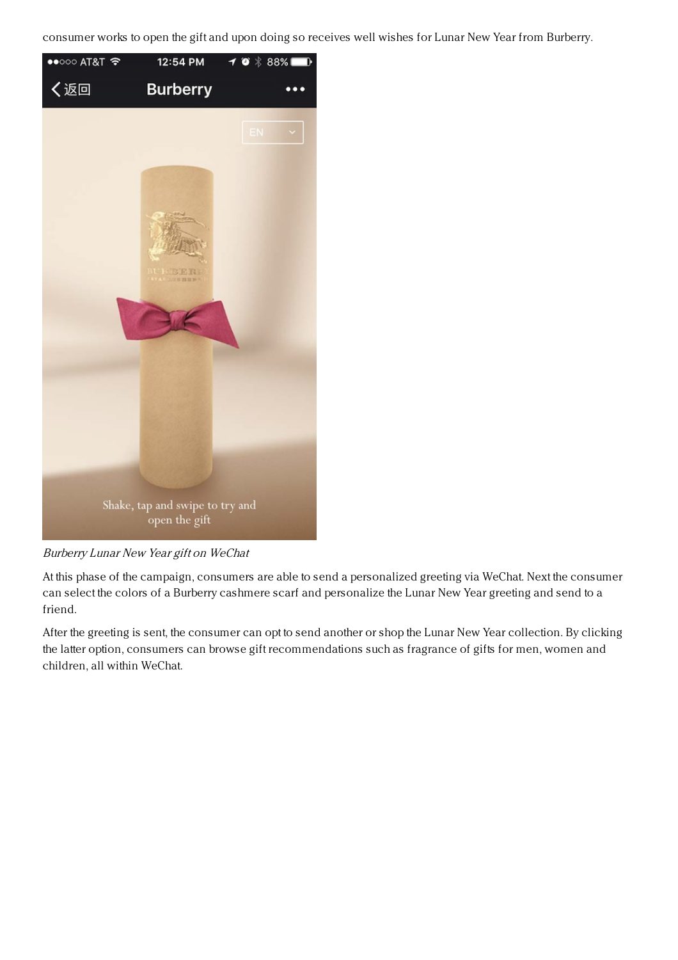consumer works to open the gift and upon doing so receives well wishes for Lunar New Year from Burberry.



Burberry Lunar New Year gift on WeChat

At this phase of the campaign, consumers are able to send a personalized greeting via WeChat. Next the consumer can select the colors of a Burberry cashmere scarf and personalize the Lunar New Year greeting and send to a friend.

After the greeting is sent, the consumer can opt to send another or shop the Lunar New Year collection. By clicking the latter option, consumers can browse gift recommendations such as fragrance of gifts for men, women and children, all within WeChat.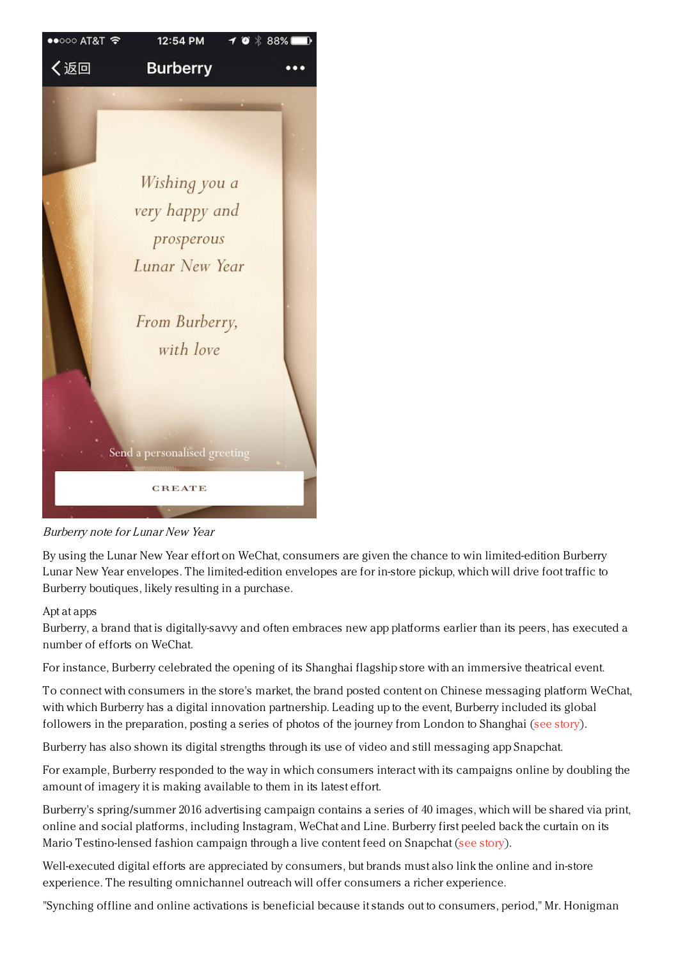

Burberry note for Lunar New Year

By using the Lunar New Year effort on WeChat, consumers are given the chance to win limited-edition Burberry Lunar New Year envelopes. The limited-edition envelopes are for in-store pickup, which will drive foot traffic to Burberry boutiques, likely resulting in a purchase.

## Apt at apps

Burberry, a brand that is digitally-savvy and often embraces new app platforms earlier than its peers, has executed a number of efforts on WeChat.

For instance, Burberry celebrated the opening of its Shanghai flagship store with an immersive theatrical event.

To connect with consumers in the store's market, the brand posted content on Chinese messaging platform WeChat, with which Burberry has a digital innovation partnership. Leading up to the event, Burberry included its global followers in the preparation, posting a series of photos of the journey from London to Shanghai (see [story](https://www.luxurydaily.com/burberry-includes-consumers-in-shanghai-journey-with-social-media/)).

Burberry has also shown its digital strengths through its use of video and still messaging app Snapchat.

For example, Burberry responded to the way in which consumers interact with its campaigns online by doubling the amount of imagery it is making available to them in its latest effort.

Burberry's spring/summer 2016 advertising campaign contains a series of 40 images, which will be shared via print, online and social platforms, including Instagram, WeChat and Line. Burberry first peeled back the curtain on its Mario Testino-lensed fashion campaign through a live content feed on Snapchat (see [story](https://www.luxurydaily.com/burberry-diversifies-spring-advertising-with-40-image-campaign/)).

Well-executed digital efforts are appreciated by consumers, but brands must also link the online and in-store experience. The resulting omnichannel outreach will offer consumers a richer experience.

"Synching offline and online activations is beneficial because it stands out to consumers, period," Mr. Honigman